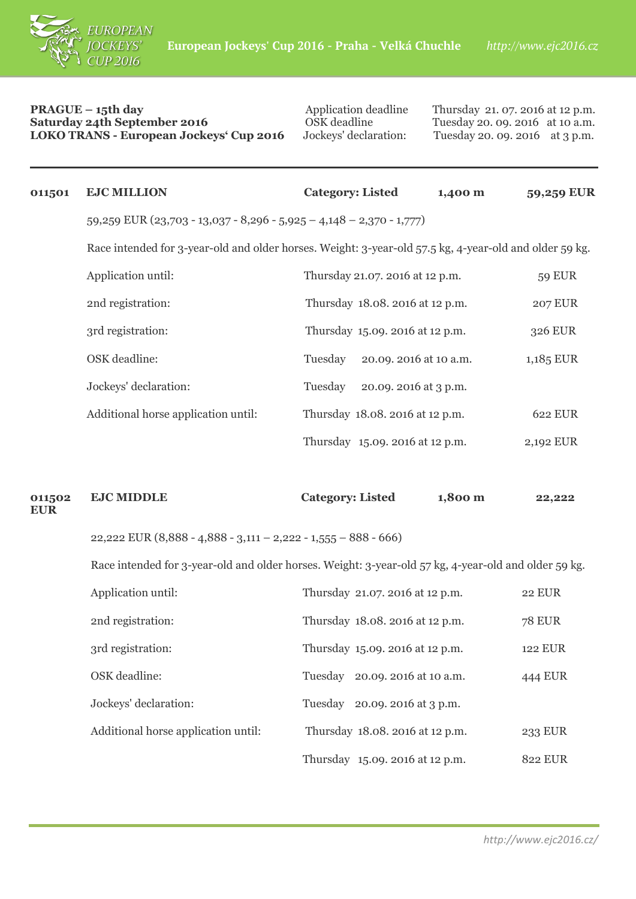

## **PRAGUE** – 15th day<br> **Saturday 24th September 2016** CSK deadline Thursday 21. 07. 2016 at 12 p.m.<br>
OSK deadline Tuesday 20. 09. 2016 at 10 a.m. **Saturday 24th September 2016**<br> **COSK** deadline Tuesday 20. 09. 2016 at 10 a.m.<br> **LOKO TRANS - European Jockeys' Cup 2016** Jockeys' declaration: Tuesday 20. 09. 2016 at 3 p.m. **LOKO TRANS - European Jockeys' Cup 2016**

| 011501 | <b>EJC MILLION</b>                                                                                     | <b>Category: Listed</b>           | 1,400 m | 59,259 EUR     |
|--------|--------------------------------------------------------------------------------------------------------|-----------------------------------|---------|----------------|
|        | 59,259 EUR (23,703 - 13,037 - 8,296 - 5,925 - 4,148 - 2,370 - 1,777)                                   |                                   |         |                |
|        | Race intended for 3-year-old and older horses. Weight: 3-year-old 57.5 kg, 4-year-old and older 59 kg. |                                   |         |                |
|        | Application until:                                                                                     | Thursday 21.07. 2016 at 12 p.m.   |         | <b>59 EUR</b>  |
|        | 2nd registration:                                                                                      | Thursday 18.08. 2016 at 12 p.m.   |         | <b>207 EUR</b> |
|        | 3rd registration:                                                                                      | Thursday 15.09. 2016 at 12 p.m.   |         | 326 EUR        |
|        | OSK deadline:                                                                                          | 20.09. 2016 at 10 a.m.<br>Tuesday |         | 1,185 EUR      |
|        | Jockeys' declaration:                                                                                  | Tuesday<br>20.09. 2016 at 3 p.m.  |         |                |
|        | Additional horse application until:                                                                    | Thursday 18.08. 2016 at 12 p.m.   |         | 622 EUR        |
|        |                                                                                                        | Thursday 15.09. 2016 at 12 p.m.   |         | 2,192 EUR      |
|        |                                                                                                        |                                   |         |                |

| 011502<br>EUR | <b>EJC MIDDLE</b>                                                | <b>Category: Listed</b> | 1,800 m | 22,222 |
|---------------|------------------------------------------------------------------|-------------------------|---------|--------|
|               | 22,222 EUR $(8,888 - 4,888 - 3,111 - 2,222 - 1,555 - 888 - 666)$ |                         |         |        |

Race intended for 3-year-old and older horses. Weight: 3-year-old 57 kg, 4-year-old and older 59 kg.

| Application until:                  | Thursday 21.07. 2016 at 12 p.m.   | <b>22 EUR</b> |
|-------------------------------------|-----------------------------------|---------------|
| 2nd registration:                   | Thursday 18.08. 2016 at 12 p.m.   | <b>78 EUR</b> |
| 3rd registration:                   | Thursday 15.09. 2016 at 12 p.m.   | 122 EUR       |
| OSK deadline:                       | 20.09. 2016 at 10 a.m.<br>Tuesday | 444 EUR       |
| Jockeys' declaration:               | 20.09. 2016 at 3 p.m.<br>Tuesday  |               |
| Additional horse application until: | Thursday 18.08. 2016 at 12 p.m.   | 233 EUR       |
|                                     | Thursday 15.09. 2016 at 12 p.m.   | 822 EUR       |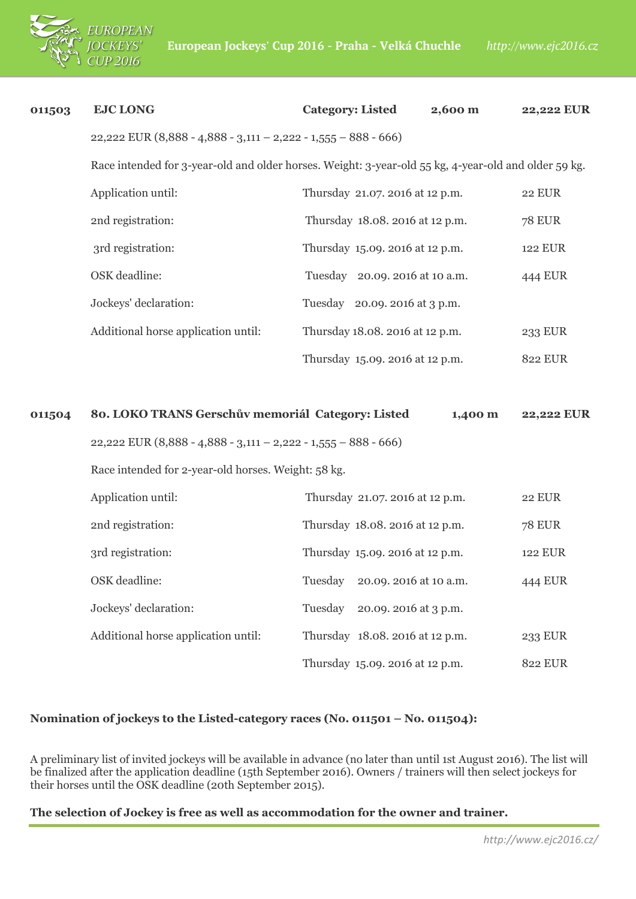

| 011503 | <b>EJC LONG</b>                                                                                      | <b>Category: Listed</b><br>2,600 m | 22,222 EUR     |  |  |
|--------|------------------------------------------------------------------------------------------------------|------------------------------------|----------------|--|--|
|        | 22,222 EUR $(8,888 - 4,888 - 3,111 - 2,222 - 1,555 - 888 - 666)$                                     |                                    |                |  |  |
|        | Race intended for 3-year-old and older horses. Weight: 3-year-old 55 kg, 4-year-old and older 59 kg. |                                    |                |  |  |
|        | Application until:                                                                                   | Thursday 21.07. 2016 at 12 p.m.    | <b>22 EUR</b>  |  |  |
|        | 2nd registration:                                                                                    | Thursday 18.08. 2016 at 12 p.m.    | <b>78 EUR</b>  |  |  |
|        | 3rd registration:                                                                                    | Thursday 15.09. 2016 at 12 p.m.    | <b>122 EUR</b> |  |  |
|        | OSK deadline:                                                                                        | Tuesday 20.09. 2016 at 10 a.m.     | 444 EUR        |  |  |
|        | Jockeys' declaration:                                                                                | Tuesday 20.09. 2016 at 3 p.m.      |                |  |  |
|        | Additional horse application until:                                                                  | Thursday 18.08. 2016 at 12 p.m.    | 233 EUR        |  |  |
|        |                                                                                                      | Thursday 15.09. 2016 at 12 p.m.    | <b>822 EUR</b> |  |  |
|        |                                                                                                      |                                    |                |  |  |
| 011504 | 80. LOKO TRANS Gerschův memoriál Category: Listed                                                    | 1,400 m                            | 22,222 EUR     |  |  |
|        | $22,222$ EUR (8,888 - 4,888 - 3,111 - 2,222 - 1,555 - 888 - 666)                                     |                                    |                |  |  |
|        | Race intended for 2-year-old horses. Weight: 58 kg.                                                  |                                    |                |  |  |
|        |                                                                                                      |                                    |                |  |  |
|        | Application until:                                                                                   | Thursday 21.07. 2016 at 12 p.m.    | <b>22 EUR</b>  |  |  |
|        | 2nd registration:                                                                                    | Thursday 18.08. 2016 at 12 p.m.    | <b>78 EUR</b>  |  |  |
|        | 3rd registration:                                                                                    | Thursday 15.09. 2016 at 12 p.m.    | <b>122 EUR</b> |  |  |
|        | OSK deadline:                                                                                        | Tuesday<br>20.09. 2016 at 10 a.m.  | 444 EUR        |  |  |
|        | Jockeys' declaration:                                                                                | Tuesday<br>20.09. 2016 at 3 p.m.   |                |  |  |
|        | Additional horse application until:                                                                  | Thursday 18.08. 2016 at 12 p.m.    | 233 EUR        |  |  |
|        |                                                                                                      | Thursday 15.09. 2016 at 12 p.m.    | <b>822 EUR</b> |  |  |

## **Nomination of jockeys to the Listed-category races (No. 011501 – No. 011504):**

A preliminary list of invited jockeys will be available in advance (no later than until 1st August 2016). The list will be finalized after the application deadline (15th September 2016). Owners / trainers will then select jockeys for their horses until the OSK deadline (20th September 2015).

## **The selection of Jockey is free as well as accommodation for the owner and trainer.**